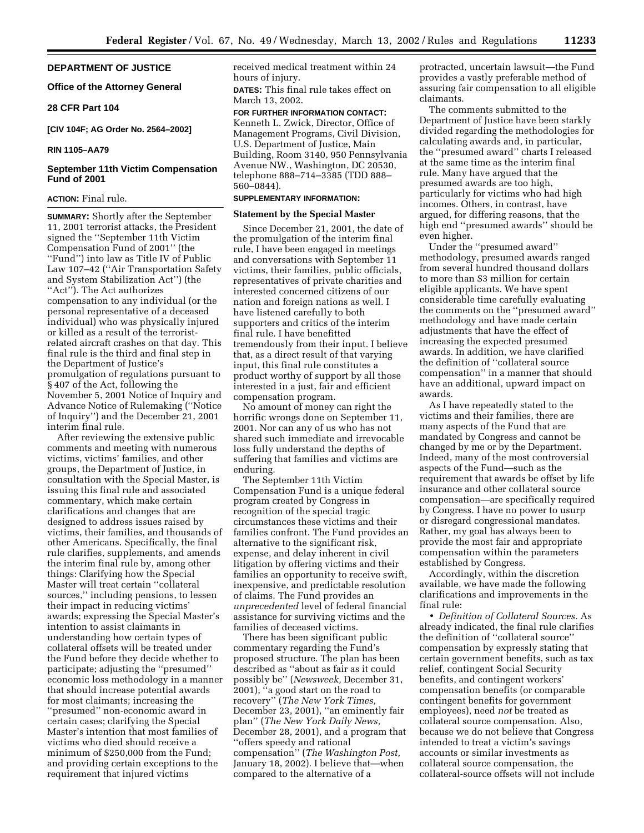## **DEPARTMENT OF JUSTICE**

#### **Office of the Attorney General**

## **28 CFR Part 104**

**[CIV 104F; AG Order No. 2564–2002]**

## **RIN 1105–AA79**

## **September 11th Victim Compensation Fund of 2001**

#### **ACTION:** Final rule.

**SUMMARY:** Shortly after the September 11, 2001 terrorist attacks, the President signed the ''September 11th Victim Compensation Fund of 2001'' (the ''Fund'') into law as Title IV of Public Law 107–42 (''Air Transportation Safety and System Stabilization Act'') (the ''Act''). The Act authorizes compensation to any individual (or the personal representative of a deceased individual) who was physically injured or killed as a result of the terroristrelated aircraft crashes on that day. This final rule is the third and final step in the Department of Justice's promulgation of regulations pursuant to § 407 of the Act, following the November 5, 2001 Notice of Inquiry and Advance Notice of Rulemaking (''Notice of Inquiry'') and the December 21, 2001 interim final rule.

After reviewing the extensive public comments and meeting with numerous victims, victims' families, and other groups, the Department of Justice, in consultation with the Special Master, is issuing this final rule and associated commentary, which make certain clarifications and changes that are designed to address issues raised by victims, their families, and thousands of other Americans. Specifically, the final rule clarifies, supplements, and amends the interim final rule by, among other things: Clarifying how the Special Master will treat certain ''collateral sources,'' including pensions, to lessen their impact in reducing victims' awards; expressing the Special Master's intention to assist claimants in understanding how certain types of collateral offsets will be treated under the Fund before they decide whether to participate; adjusting the ''presumed'' economic loss methodology in a manner that should increase potential awards for most claimants; increasing the ''presumed'' non-economic award in certain cases; clarifying the Special Master's intention that most families of victims who died should receive a minimum of \$250,000 from the Fund; and providing certain exceptions to the requirement that injured victims

received medical treatment within 24 hours of injury.

**DATES:** This final rule takes effect on March 13, 2002.

**FOR FURTHER INFORMATION CONTACT:** Kenneth L. Zwick, Director, Office of Management Programs, Civil Division, U.S. Department of Justice, Main Building, Room 3140, 950 Pennsylvania Avenue NW., Washington, DC 20530, telephone 888–714–3385 (TDD 888– 560–0844).

## **SUPPLEMENTARY INFORMATION:**

## **Statement by the Special Master**

Since December 21, 2001, the date of the promulgation of the interim final rule, I have been engaged in meetings and conversations with September 11 victims, their families, public officials, representatives of private charities and interested concerned citizens of our nation and foreign nations as well. I have listened carefully to both supporters and critics of the interim final rule. I have benefitted tremendously from their input. I believe that, as a direct result of that varying input, this final rule constitutes a product worthy of support by all those interested in a just, fair and efficient compensation program.

No amount of money can right the horrific wrongs done on September 11, 2001. Nor can any of us who has not shared such immediate and irrevocable loss fully understand the depths of suffering that families and victims are enduring.

The September 11th Victim Compensation Fund is a unique federal program created by Congress in recognition of the special tragic circumstances these victims and their families confront. The Fund provides an alternative to the significant risk, expense, and delay inherent in civil litigation by offering victims and their families an opportunity to receive swift, inexpensive, and predictable resolution of claims. The Fund provides an *unprecedented* level of federal financial assistance for surviving victims and the families of deceased victims.

There has been significant public commentary regarding the Fund's proposed structure. The plan has been described as ''about as fair as it could possibly be'' (*Newsweek,* December 31, 2001), ''a good start on the road to recovery'' (*The New York Times,* December 23, 2001), ''an eminently fair plan'' (*The New York Daily News,* December 28, 2001), and a program that ''offers speedy and rational compensation'' (*The Washington Post,* January 18, 2002). I believe that—when compared to the alternative of a

protracted, uncertain lawsuit—the Fund provides a vastly preferable method of assuring fair compensation to all eligible claimants.

The comments submitted to the Department of Justice have been starkly divided regarding the methodologies for calculating awards and, in particular, the ''presumed award'' charts I released at the same time as the interim final rule. Many have argued that the presumed awards are too high, particularly for victims who had high incomes. Others, in contrast, have argued, for differing reasons, that the high end ''presumed awards'' should be even higher.

Under the ''presumed award'' methodology, presumed awards ranged from several hundred thousand dollars to more than \$3 million for certain eligible applicants. We have spent considerable time carefully evaluating the comments on the ''presumed award'' methodology and have made certain adjustments that have the effect of increasing the expected presumed awards. In addition, we have clarified the definition of ''collateral source compensation'' in a manner that should have an additional, upward impact on awards.

As I have repeatedly stated to the victims and their families, there are many aspects of the Fund that are mandated by Congress and cannot be changed by me or by the Department. Indeed, many of the most controversial aspects of the Fund—such as the requirement that awards be offset by life insurance and other collateral source compensation—are specifically required by Congress. I have no power to usurp or disregard congressional mandates. Rather, my goal has always been to provide the most fair and appropriate compensation within the parameters established by Congress.

Accordingly, within the discretion available, we have made the following clarifications and improvements in the final rule:

• *Definition of Collateral Sources.* As already indicated, the final rule clarifies the definition of ''collateral source'' compensation by expressly stating that certain government benefits, such as tax relief, contingent Social Security benefits, and contingent workers' compensation benefits (or comparable contingent benefits for government employees), need *not* be treated as collateral source compensation. Also, because we do not believe that Congress intended to treat a victim's savings accounts or similar investments as collateral source compensation, the collateral-source offsets will not include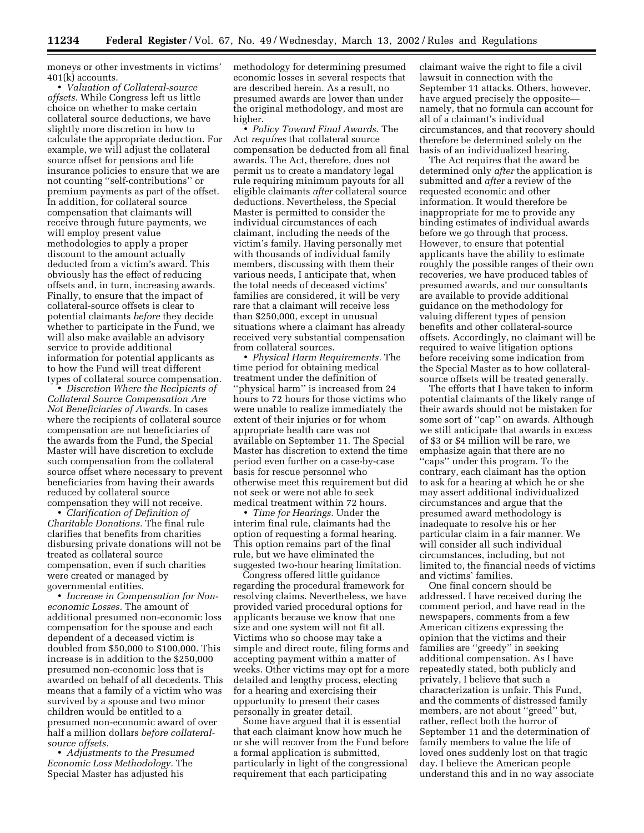moneys or other investments in victims' 401(k) accounts.

• *Valuation of Collateral-source offsets.* While Congress left us little choice on whether to make certain collateral source deductions, we have slightly more discretion in how to calculate the appropriate deduction. For example, we will adjust the collateral source offset for pensions and life insurance policies to ensure that we are not counting ''self-contributions'' or premium payments as part of the offset. In addition, for collateral source compensation that claimants will receive through future payments, we will employ present value methodologies to apply a proper discount to the amount actually deducted from a victim's award. This obviously has the effect of reducing offsets and, in turn, increasing awards. Finally, to ensure that the impact of collateral-source offsets is clear to potential claimants *before* they decide whether to participate in the Fund, we will also make available an advisory service to provide additional information for potential applicants as to how the Fund will treat different types of collateral source compensation.

• *Discretion Where the Recipients of Collateral Source Compensation Are Not Beneficiaries of Awards.* In cases where the recipients of collateral source compensation are not beneficiaries of the awards from the Fund, the Special Master will have discretion to exclude such compensation from the collateral source offset where necessary to prevent beneficiaries from having their awards reduced by collateral source compensation they will not receive.

• *Clarification of Definition of Charitable Donations.* The final rule clarifies that benefits from charities disbursing private donations will not be treated as collateral source compensation, even if such charities were created or managed by governmental entities.

• *Increase in Compensation for Noneconomic Losses.* The amount of additional presumed non-economic loss compensation for the spouse and each dependent of a deceased victim is doubled from \$50,000 to \$100,000. This increase is in addition to the \$250,000 presumed non-economic loss that is awarded on behalf of all decedents. This means that a family of a victim who was survived by a spouse and two minor children would be entitled to a presumed non-economic award of over half a million dollars *before collateralsource offsets.*

• *Adjustments to the Presumed Economic Loss Methodology.* The Special Master has adjusted his

methodology for determining presumed economic losses in several respects that are described herein. As a result, no presumed awards are lower than under the original methodology, and most are higher.

• *Policy Toward Final Awards.* The Act *requires* that collateral source compensation be deducted from all final awards. The Act, therefore, does not permit us to create a mandatory legal rule requiring minimum payouts for all eligible claimants *after* collateral source deductions. Nevertheless, the Special Master is permitted to consider the individual circumstances of each claimant, including the needs of the victim's family. Having personally met with thousands of individual family members, discussing with them their various needs, I anticipate that, when the total needs of deceased victims' families are considered, it will be very rare that a claimant will receive less than \$250,000, except in unusual situations where a claimant has already received very substantial compensation from collateral sources.

• *Physical Harm Requirements.* The time period for obtaining medical treatment under the definition of ''physical harm'' is increased from 24 hours to 72 hours for those victims who were unable to realize immediately the extent of their injuries or for whom appropriate health care was not available on September 11. The Special Master has discretion to extend the time period even further on a case-by-case basis for rescue personnel who otherwise meet this requirement but did not seek or were not able to seek medical treatment within 72 hours.

• *Time for Hearings.* Under the interim final rule, claimants had the option of requesting a formal hearing. This option remains part of the final rule, but we have eliminated the suggested two-hour hearing limitation.

Congress offered little guidance regarding the procedural framework for resolving claims. Nevertheless, we have provided varied procedural options for applicants because we know that one size and one system will not fit all. Victims who so choose may take a simple and direct route, filing forms and accepting payment within a matter of weeks. Other victims may opt for a more detailed and lengthy process, electing for a hearing and exercising their opportunity to present their cases personally in greater detail.

Some have argued that it is essential that each claimant know how much he or she will recover from the Fund before a formal application is submitted, particularly in light of the congressional requirement that each participating

claimant waive the right to file a civil lawsuit in connection with the September 11 attacks. Others, however, have argued precisely the opposite namely, that no formula can account for all of a claimant's individual circumstances, and that recovery should therefore be determined solely on the basis of an individualized hearing.

The Act requires that the award be determined only *after* the application is submitted and *after* a review of the requested economic and other information. It would therefore be inappropriate for me to provide any binding estimates of individual awards before we go through that process. However, to ensure that potential applicants have the ability to estimate roughly the possible ranges of their own recoveries, we have produced tables of presumed awards, and our consultants are available to provide additional guidance on the methodology for valuing different types of pension benefits and other collateral-source offsets. Accordingly, no claimant will be required to waive litigation options before receiving some indication from the Special Master as to how collateralsource offsets will be treated generally.

The efforts that I have taken to inform potential claimants of the likely range of their awards should not be mistaken for some sort of ''cap'' on awards. Although we still anticipate that awards in excess of \$3 or \$4 million will be rare, we emphasize again that there are no ''caps'' under this program. To the contrary, each claimant has the option to ask for a hearing at which he or she may assert additional individualized circumstances and argue that the presumed award methodology is inadequate to resolve his or her particular claim in a fair manner. We will consider all such individual circumstances, including, but not limited to, the financial needs of victims and victims' families.

One final concern should be addressed. I have received during the comment period, and have read in the newspapers, comments from a few American citizens expressing the opinion that the victims and their families are ''greedy'' in seeking additional compensation. As I have repeatedly stated, both publicly and privately, I believe that such a characterization is unfair. This Fund, and the comments of distressed family members, are not about ''greed'' but, rather, reflect both the horror of September 11 and the determination of family members to value the life of loved ones suddenly lost on that tragic day. I believe the American people understand this and in no way associate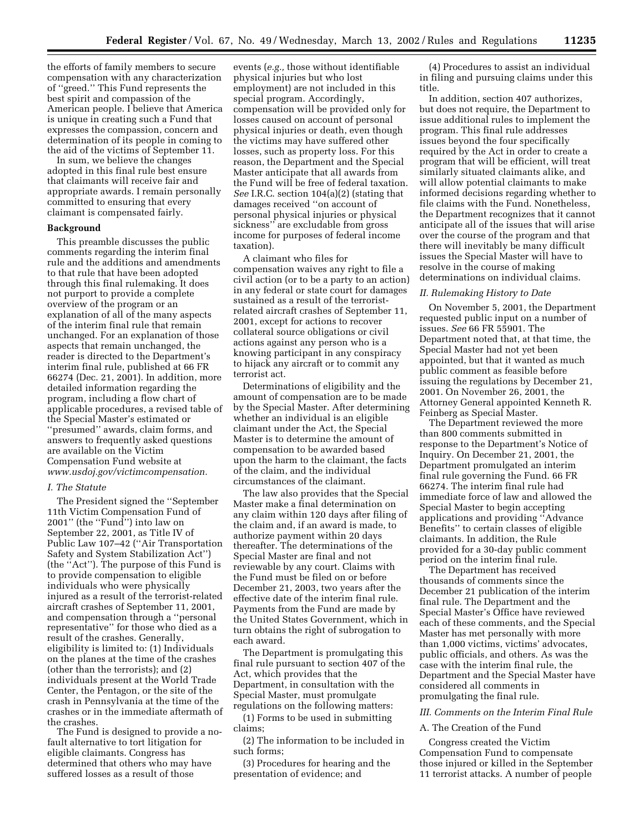the efforts of family members to secure compensation with any characterization of ''greed.'' This Fund represents the best spirit and compassion of the American people. I believe that America is unique in creating such a Fund that expresses the compassion, concern and determination of its people in coming to the aid of the victims of September 11.

In sum, we believe the changes adopted in this final rule best ensure that claimants will receive fair and appropriate awards. I remain personally committed to ensuring that every claimant is compensated fairly.

## **Background**

This preamble discusses the public comments regarding the interim final rule and the additions and amendments to that rule that have been adopted through this final rulemaking. It does not purport to provide a complete overview of the program or an explanation of all of the many aspects of the interim final rule that remain unchanged. For an explanation of those aspects that remain unchanged, the reader is directed to the Department's interim final rule, published at 66 FR 66274 (Dec. 21, 2001). In addition, more detailed information regarding the program, including a flow chart of applicable procedures, a revised table of the Special Master's estimated or ''presumed'' awards, claim forms, and answers to frequently asked questions are available on the Victim Compensation Fund website at *www.usdoj.gov/victimcompensation.*

#### *I. The Statute*

The President signed the ''September 11th Victim Compensation Fund of 2001'' (the ''Fund'') into law on September 22, 2001, as Title IV of Public Law 107–42 (''Air Transportation Safety and System Stabilization Act'') (the ''Act''). The purpose of this Fund is to provide compensation to eligible individuals who were physically injured as a result of the terrorist-related aircraft crashes of September 11, 2001, and compensation through a ''personal representative'' for those who died as a result of the crashes. Generally, eligibility is limited to: (1) Individuals on the planes at the time of the crashes (other than the terrorists); and (2) individuals present at the World Trade Center, the Pentagon, or the site of the crash in Pennsylvania at the time of the crashes or in the immediate aftermath of the crashes.

The Fund is designed to provide a nofault alternative to tort litigation for eligible claimants. Congress has determined that others who may have suffered losses as a result of those

events (*e.g.,* those without identifiable physical injuries but who lost employment) are not included in this special program. Accordingly, compensation will be provided only for losses caused on account of personal physical injuries or death, even though the victims may have suffered other losses, such as property loss. For this reason, the Department and the Special Master anticipate that all awards from the Fund will be free of federal taxation. *See* I.R.C. section 104(a)(2) (stating that damages received ''on account of personal physical injuries or physical sickness'' are excludable from gross income for purposes of federal income taxation).

A claimant who files for compensation waives any right to file a civil action (or to be a party to an action) in any federal or state court for damages sustained as a result of the terroristrelated aircraft crashes of September 11, 2001, except for actions to recover collateral source obligations or civil actions against any person who is a knowing participant in any conspiracy to hijack any aircraft or to commit any terrorist act.

Determinations of eligibility and the amount of compensation are to be made by the Special Master. After determining whether an individual is an eligible claimant under the Act, the Special Master is to determine the amount of compensation to be awarded based upon the harm to the claimant, the facts of the claim, and the individual circumstances of the claimant.

The law also provides that the Special Master make a final determination on any claim within 120 days after filing of the claim and, if an award is made, to authorize payment within 20 days thereafter. The determinations of the Special Master are final and not reviewable by any court. Claims with the Fund must be filed on or before December 21, 2003, two years after the effective date of the interim final rule. Payments from the Fund are made by the United States Government, which in turn obtains the right of subrogation to each award.

The Department is promulgating this final rule pursuant to section 407 of the Act, which provides that the Department, in consultation with the Special Master, must promulgate regulations on the following matters:

(1) Forms to be used in submitting claims;

(2) The information to be included in such forms;

(3) Procedures for hearing and the presentation of evidence; and

(4) Procedures to assist an individual in filing and pursuing claims under this title.

In addition, section 407 authorizes, but does not require, the Department to issue additional rules to implement the program. This final rule addresses issues beyond the four specifically required by the Act in order to create a program that will be efficient, will treat similarly situated claimants alike, and will allow potential claimants to make informed decisions regarding whether to file claims with the Fund. Nonetheless, the Department recognizes that it cannot anticipate all of the issues that will arise over the course of the program and that there will inevitably be many difficult issues the Special Master will have to resolve in the course of making determinations on individual claims.

## *II. Rulemaking History to Date*

On November 5, 2001, the Department requested public input on a number of issues. *See* 66 FR 55901. The Department noted that, at that time, the Special Master had not yet been appointed, but that it wanted as much public comment as feasible before issuing the regulations by December 21, 2001. On November 26, 2001, the Attorney General appointed Kenneth R. Feinberg as Special Master.

The Department reviewed the more than 800 comments submitted in response to the Department's Notice of Inquiry. On December 21, 2001, the Department promulgated an interim final rule governing the Fund. 66 FR 66274. The interim final rule had immediate force of law and allowed the Special Master to begin accepting applications and providing ''Advance Benefits'' to certain classes of eligible claimants. In addition, the Rule provided for a 30-day public comment period on the interim final rule.

The Department has received thousands of comments since the December 21 publication of the interim final rule. The Department and the Special Master's Office have reviewed each of these comments, and the Special Master has met personally with more than 1,000 victims, victims' advocates, public officials, and others. As was the case with the interim final rule, the Department and the Special Master have considered all comments in promulgating the final rule.

## *III. Comments on the Interim Final Rule*

#### A. The Creation of the Fund

Congress created the Victim Compensation Fund to compensate those injured or killed in the September 11 terrorist attacks. A number of people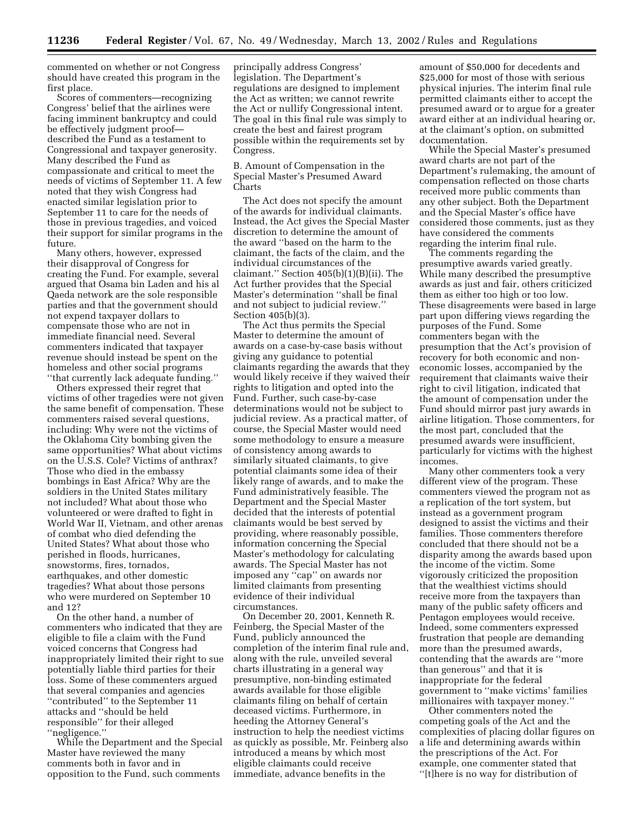commented on whether or not Congress should have created this program in the first place.

Scores of commenters—recognizing Congress' belief that the airlines were facing imminent bankruptcy and could be effectively judgment proof described the Fund as a testament to Congressional and taxpayer generosity. Many described the Fund as compassionate and critical to meet the needs of victims of September 11. A few noted that they wish Congress had enacted similar legislation prior to September 11 to care for the needs of those in previous tragedies, and voiced their support for similar programs in the future.

Many others, however, expressed their disapproval of Congress for creating the Fund. For example, several argued that Osama bin Laden and his al Qaeda network are the sole responsible parties and that the government should not expend taxpayer dollars to compensate those who are not in immediate financial need. Several commenters indicated that taxpayer revenue should instead be spent on the homeless and other social programs ''that currently lack adequate funding.''

Others expressed their regret that victims of other tragedies were not given the same benefit of compensation. These commenters raised several questions, including: Why were not the victims of the Oklahoma City bombing given the same opportunities? What about victims on the U.S.S. Cole? Victims of anthrax? Those who died in the embassy bombings in East Africa? Why are the soldiers in the United States military not included? What about those who volunteered or were drafted to fight in World War II, Vietnam, and other arenas of combat who died defending the United States? What about those who perished in floods, hurricanes, snowstorms, fires, tornados, earthquakes, and other domestic tragedies? What about those persons who were murdered on September 10 and 12?

On the other hand, a number of commenters who indicated that they are eligible to file a claim with the Fund voiced concerns that Congress had inappropriately limited their right to sue potentially liable third parties for their loss. Some of these commenters argued that several companies and agencies ''contributed'' to the September 11 attacks and ''should be held responsible'' for their alleged ''negligence.''

While the Department and the Special Master have reviewed the many comments both in favor and in opposition to the Fund, such comments

principally address Congress' legislation. The Department's regulations are designed to implement the Act as written; we cannot rewrite the Act or nullify Congressional intent. The goal in this final rule was simply to create the best and fairest program possible within the requirements set by Congress.

B. Amount of Compensation in the Special Master's Presumed Award Charts

The Act does not specify the amount of the awards for individual claimants. Instead, the Act gives the Special Master discretion to determine the amount of the award ''based on the harm to the claimant, the facts of the claim, and the individual circumstances of the claimant.'' Section 405(b)(1)(B)(ii). The Act further provides that the Special Master's determination ''shall be final and not subject to judicial review.'' Section 405(b)(3).

The Act thus permits the Special Master to determine the amount of awards on a case-by-case basis without giving any guidance to potential claimants regarding the awards that they would likely receive if they waived their rights to litigation and opted into the Fund. Further, such case-by-case determinations would not be subject to judicial review. As a practical matter, of course, the Special Master would need some methodology to ensure a measure of consistency among awards to similarly situated claimants, to give potential claimants some idea of their likely range of awards, and to make the Fund administratively feasible. The Department and the Special Master decided that the interests of potential claimants would be best served by providing, where reasonably possible, information concerning the Special Master's methodology for calculating awards. The Special Master has not imposed any ''cap'' on awards nor limited claimants from presenting evidence of their individual circumstances.

On December 20, 2001, Kenneth R. Feinberg, the Special Master of the Fund, publicly announced the completion of the interim final rule and, along with the rule, unveiled several charts illustrating in a general way presumptive, non-binding estimated awards available for those eligible claimants filing on behalf of certain deceased victims. Furthermore, in heeding the Attorney General's instruction to help the neediest victims as quickly as possible, Mr. Feinberg also introduced a means by which most eligible claimants could receive immediate, advance benefits in the

amount of \$50,000 for decedents and \$25,000 for most of those with serious physical injuries. The interim final rule permitted claimants either to accept the presumed award or to argue for a greater award either at an individual hearing or, at the claimant's option, on submitted documentation.

While the Special Master's presumed award charts are not part of the Department's rulemaking, the amount of compensation reflected on those charts received more public comments than any other subject. Both the Department and the Special Master's office have considered those comments, just as they have considered the comments regarding the interim final rule.

The comments regarding the presumptive awards varied greatly. While many described the presumptive awards as just and fair, others criticized them as either too high or too low. These disagreements were based in large part upon differing views regarding the purposes of the Fund. Some commenters began with the presumption that the Act's provision of recovery for both economic and noneconomic losses, accompanied by the requirement that claimants waive their right to civil litigation, indicated that the amount of compensation under the Fund should mirror past jury awards in airline litigation. Those commenters, for the most part, concluded that the presumed awards were insufficient, particularly for victims with the highest incomes.

Many other commenters took a very different view of the program. These commenters viewed the program not as a replication of the tort system, but instead as a government program designed to assist the victims and their families. Those commenters therefore concluded that there should not be a disparity among the awards based upon the income of the victim. Some vigorously criticized the proposition that the wealthiest victims should receive more from the taxpayers than many of the public safety officers and Pentagon employees would receive. Indeed, some commenters expressed frustration that people are demanding more than the presumed awards, contending that the awards are ''more than generous'' and that it is inappropriate for the federal government to ''make victims' families millionaires with taxpayer money.''

Other commenters noted the competing goals of the Act and the complexities of placing dollar figures on a life and determining awards within the prescriptions of the Act. For example, one commenter stated that ''[t]here is no way for distribution of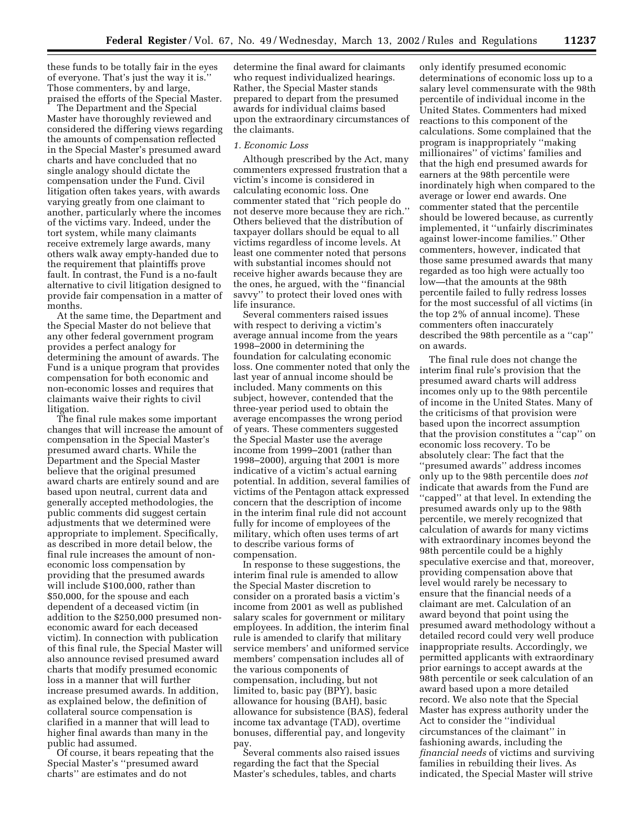these funds to be totally fair in the eyes of everyone. That's just the way it is.'' Those commenters, by and large, praised the efforts of the Special Master.

The Department and the Special Master have thoroughly reviewed and considered the differing views regarding the amounts of compensation reflected in the Special Master's presumed award charts and have concluded that no single analogy should dictate the compensation under the Fund. Civil litigation often takes years, with awards varying greatly from one claimant to another, particularly where the incomes of the victims vary. Indeed, under the tort system, while many claimants receive extremely large awards, many others walk away empty-handed due to the requirement that plaintiffs prove fault. In contrast, the Fund is a no-fault alternative to civil litigation designed to provide fair compensation in a matter of months.

At the same time, the Department and the Special Master do not believe that any other federal government program provides a perfect analogy for determining the amount of awards. The Fund is a unique program that provides compensation for both economic and non-economic losses and requires that claimants waive their rights to civil litigation.

The final rule makes some important changes that will increase the amount of compensation in the Special Master's presumed award charts. While the Department and the Special Master believe that the original presumed award charts are entirely sound and are based upon neutral, current data and generally accepted methodologies, the public comments did suggest certain adjustments that we determined were appropriate to implement. Specifically, as described in more detail below, the final rule increases the amount of noneconomic loss compensation by providing that the presumed awards will include \$100,000, rather than \$50,000, for the spouse and each dependent of a deceased victim (in addition to the \$250,000 presumed noneconomic award for each deceased victim). In connection with publication of this final rule, the Special Master will also announce revised presumed award charts that modify presumed economic loss in a manner that will further increase presumed awards. In addition, as explained below, the definition of collateral source compensation is clarified in a manner that will lead to higher final awards than many in the public had assumed.

Of course, it bears repeating that the Special Master's ''presumed award charts'' are estimates and do not

determine the final award for claimants who request individualized hearings. Rather, the Special Master stands prepared to depart from the presumed awards for individual claims based upon the extraordinary circumstances of the claimants.

#### *1. Economic Loss*

Although prescribed by the Act, many commenters expressed frustration that a victim's income is considered in calculating economic loss. One commenter stated that ''rich people do not deserve more because they are rich.'' Others believed that the distribution of taxpayer dollars should be equal to all victims regardless of income levels. At least one commenter noted that persons with substantial incomes should not receive higher awards because they are the ones, he argued, with the ''financial savvy'' to protect their loved ones with life insurance.

Several commenters raised issues with respect to deriving a victim's average annual income from the years 1998–2000 in determining the foundation for calculating economic loss. One commenter noted that only the last year of annual income should be included. Many comments on this subject, however, contended that the three-year period used to obtain the average encompasses the wrong period of years. These commenters suggested the Special Master use the average income from 1999–2001 (rather than 1998–2000), arguing that 2001 is more indicative of a victim's actual earning potential. In addition, several families of victims of the Pentagon attack expressed concern that the description of income in the interim final rule did not account fully for income of employees of the military, which often uses terms of art to describe various forms of compensation.

In response to these suggestions, the interim final rule is amended to allow the Special Master discretion to consider on a prorated basis a victim's income from 2001 as well as published salary scales for government or military employees. In addition, the interim final rule is amended to clarify that military service members' and uniformed service members' compensation includes all of the various components of compensation, including, but not limited to, basic pay (BPY), basic allowance for housing (BAH), basic allowance for subsistence (BAS), federal income tax advantage (TAD), overtime bonuses, differential pay, and longevity pay.

Several comments also raised issues regarding the fact that the Special Master's schedules, tables, and charts

only identify presumed economic determinations of economic loss up to a salary level commensurate with the 98th percentile of individual income in the United States. Commenters had mixed reactions to this component of the calculations. Some complained that the program is inappropriately ''making millionaires'' of victims' families and that the high end presumed awards for earners at the 98th percentile were inordinately high when compared to the average or lower end awards. One commenter stated that the percentile should be lowered because, as currently implemented, it ''unfairly discriminates against lower-income families.'' Other commenters, however, indicated that those same presumed awards that many regarded as too high were actually too low—that the amounts at the 98th percentile failed to fully redress losses for the most successful of all victims (in the top 2% of annual income). These commenters often inaccurately described the 98th percentile as a ''cap'' on awards.

The final rule does not change the interim final rule's provision that the presumed award charts will address incomes only up to the 98th percentile of income in the United States. Many of the criticisms of that provision were based upon the incorrect assumption that the provision constitutes a ''cap'' on economic loss recovery. To be absolutely clear: The fact that the ''presumed awards'' address incomes only up to the 98th percentile does *not* indicate that awards from the Fund are ''capped'' at that level. In extending the presumed awards only up to the 98th percentile, we merely recognized that calculation of awards for many victims with extraordinary incomes beyond the 98th percentile could be a highly speculative exercise and that, moreover, providing compensation above that level would rarely be necessary to ensure that the financial needs of a claimant are met. Calculation of an award beyond that point using the presumed award methodology without a detailed record could very well produce inappropriate results. Accordingly, we permitted applicants with extraordinary prior earnings to accept awards at the 98th percentile or seek calculation of an award based upon a more detailed record. We also note that the Special Master has express authority under the Act to consider the ''individual circumstances of the claimant'' in fashioning awards, including the *financial needs* of victims and surviving families in rebuilding their lives. As indicated, the Special Master will strive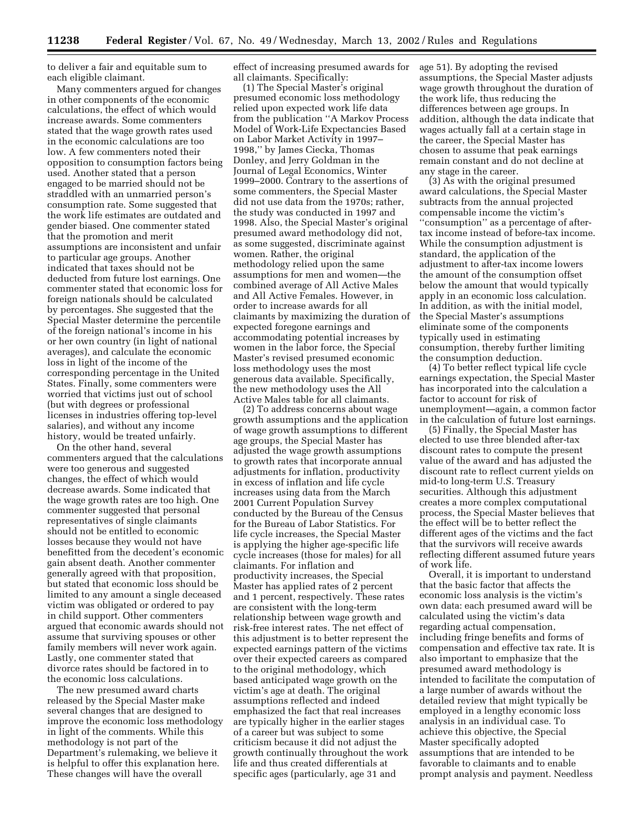to deliver a fair and equitable sum to each eligible claimant.

Many commenters argued for changes in other components of the economic calculations, the effect of which would increase awards. Some commenters stated that the wage growth rates used in the economic calculations are too low. A few commenters noted their opposition to consumption factors being used. Another stated that a person engaged to be married should not be straddled with an unmarried person's consumption rate. Some suggested that the work life estimates are outdated and gender biased. One commenter stated that the promotion and merit assumptions are inconsistent and unfair to particular age groups. Another indicated that taxes should not be deducted from future lost earnings. One commenter stated that economic loss for foreign nationals should be calculated by percentages. She suggested that the Special Master determine the percentile of the foreign national's income in his or her own country (in light of national averages), and calculate the economic loss in light of the income of the corresponding percentage in the United States. Finally, some commenters were worried that victims just out of school (but with degrees or professional licenses in industries offering top-level salaries), and without any income history, would be treated unfairly.

On the other hand, several commenters argued that the calculations were too generous and suggested changes, the effect of which would decrease awards. Some indicated that the wage growth rates are too high. One commenter suggested that personal representatives of single claimants should not be entitled to economic losses because they would not have benefitted from the decedent's economic gain absent death. Another commenter generally agreed with that proposition, but stated that economic loss should be limited to any amount a single deceased victim was obligated or ordered to pay in child support. Other commenters argued that economic awards should not assume that surviving spouses or other family members will never work again. Lastly, one commenter stated that divorce rates should be factored in to the economic loss calculations.

The new presumed award charts released by the Special Master make several changes that are designed to improve the economic loss methodology in light of the comments. While this methodology is not part of the Department's rulemaking, we believe it is helpful to offer this explanation here. These changes will have the overall

effect of increasing presumed awards for all claimants. Specifically:

(1) The Special Master's original presumed economic loss methodology relied upon expected work life data from the publication ''A Markov Process Model of Work-Life Expectancies Based on Labor Market Activity in 1997– 1998,'' by James Ciecka, Thomas Donley, and Jerry Goldman in the Journal of Legal Economics, Winter 1999–2000. Contrary to the assertions of some commenters, the Special Master did not use data from the 1970s; rather, the study was conducted in 1997 and 1998. Also, the Special Master's original presumed award methodology did not, as some suggested, discriminate against women. Rather, the original methodology relied upon the same assumptions for men and women—the combined average of All Active Males and All Active Females. However, in order to increase awards for all claimants by maximizing the duration of expected foregone earnings and accommodating potential increases by women in the labor force, the Special Master's revised presumed economic loss methodology uses the most generous data available. Specifically, the new methodology uses the All Active Males table for all claimants.

(2) To address concerns about wage growth assumptions and the application of wage growth assumptions to different age groups, the Special Master has adjusted the wage growth assumptions to growth rates that incorporate annual adjustments for inflation, productivity in excess of inflation and life cycle increases using data from the March 2001 Current Population Survey conducted by the Bureau of the Census for the Bureau of Labor Statistics. For life cycle increases, the Special Master is applying the higher age-specific life cycle increases (those for males) for all claimants. For inflation and productivity increases, the Special Master has applied rates of 2 percent and 1 percent, respectively. These rates are consistent with the long-term relationship between wage growth and risk-free interest rates. The net effect of this adjustment is to better represent the expected earnings pattern of the victims over their expected careers as compared to the original methodology, which based anticipated wage growth on the victim's age at death. The original assumptions reflected and indeed emphasized the fact that real increases are typically higher in the earlier stages of a career but was subject to some criticism because it did not adjust the growth continually throughout the work life and thus created differentials at specific ages (particularly, age 31 and

age 51). By adopting the revised assumptions, the Special Master adjusts wage growth throughout the duration of the work life, thus reducing the differences between age groups. In addition, although the data indicate that wages actually fall at a certain stage in the career, the Special Master has chosen to assume that peak earnings remain constant and do not decline at any stage in the career.

(3) As with the original presumed award calculations, the Special Master subtracts from the annual projected compensable income the victim's ''consumption'' as a percentage of aftertax income instead of before-tax income. While the consumption adjustment is standard, the application of the adjustment to after-tax income lowers the amount of the consumption offset below the amount that would typically apply in an economic loss calculation. In addition, as with the initial model, the Special Master's assumptions eliminate some of the components typically used in estimating consumption, thereby further limiting the consumption deduction.

(4) To better reflect typical life cycle earnings expectation, the Special Master has incorporated into the calculation a factor to account for risk of unemployment—again, a common factor in the calculation of future lost earnings.

(5) Finally, the Special Master has elected to use three blended after-tax discount rates to compute the present value of the award and has adjusted the discount rate to reflect current yields on mid-to long-term U.S. Treasury securities. Although this adjustment creates a more complex computational process, the Special Master believes that the effect will be to better reflect the different ages of the victims and the fact that the survivors will receive awards reflecting different assumed future years of work life.

Overall, it is important to understand that the basic factor that affects the economic loss analysis is the victim's own data: each presumed award will be calculated using the victim's data regarding actual compensation, including fringe benefits and forms of compensation and effective tax rate. It is also important to emphasize that the presumed award methodology is intended to facilitate the computation of a large number of awards without the detailed review that might typically be employed in a lengthy economic loss analysis in an individual case. To achieve this objective, the Special Master specifically adopted assumptions that are intended to be favorable to claimants and to enable prompt analysis and payment. Needless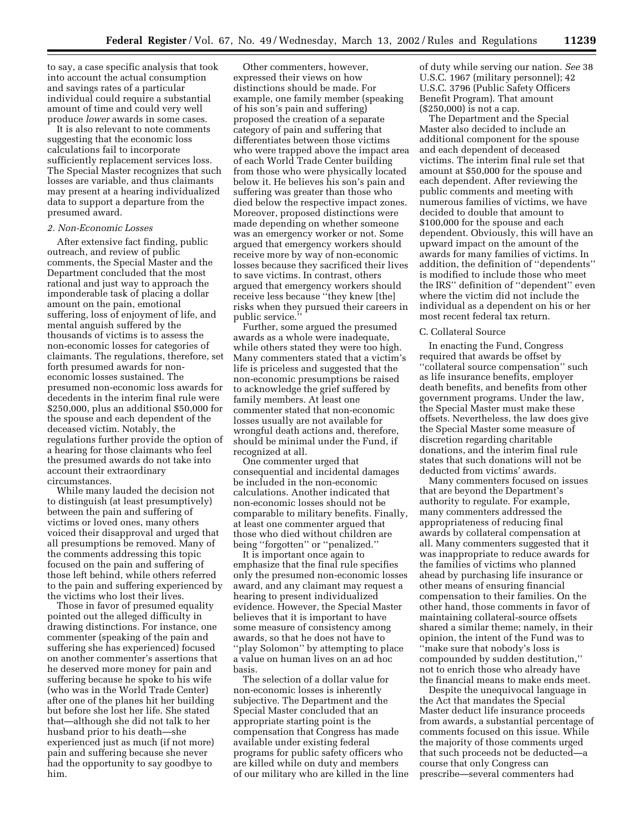to say, a case specific analysis that took into account the actual consumption and savings rates of a particular individual could require a substantial amount of time and could very well produce *lower* awards in some cases.

It is also relevant to note comments suggesting that the economic loss calculations fail to incorporate sufficiently replacement services loss. The Special Master recognizes that such losses are variable, and thus claimants may present at a hearing individualized data to support a departure from the presumed award.

#### *2. Non-Economic Losses*

After extensive fact finding, public outreach, and review of public comments, the Special Master and the Department concluded that the most rational and just way to approach the imponderable task of placing a dollar amount on the pain, emotional suffering, loss of enjoyment of life, and mental anguish suffered by the thousands of victims is to assess the non-economic losses for categories of claimants. The regulations, therefore, set forth presumed awards for noneconomic losses sustained. The presumed non-economic loss awards for decedents in the interim final rule were \$250,000, plus an additional \$50,000 for the spouse and each dependent of the deceased victim. Notably, the regulations further provide the option of a hearing for those claimants who feel the presumed awards do not take into account their extraordinary circumstances.

While many lauded the decision not to distinguish (at least presumptively) between the pain and suffering of victims or loved ones, many others voiced their disapproval and urged that all presumptions be removed. Many of the comments addressing this topic focused on the pain and suffering of those left behind, while others referred to the pain and suffering experienced by the victims who lost their lives.

Those in favor of presumed equality pointed out the alleged difficulty in drawing distinctions. For instance, one commenter (speaking of the pain and suffering she has experienced) focused on another commenter's assertions that he deserved more money for pain and suffering because he spoke to his wife (who was in the World Trade Center) after one of the planes hit her building but before she lost her life. She stated that—although she did not talk to her husband prior to his death—she experienced just as much (if not more) pain and suffering because she never had the opportunity to say goodbye to him.

Other commenters, however, expressed their views on how distinctions should be made. For example, one family member (speaking of his son's pain and suffering) proposed the creation of a separate category of pain and suffering that differentiates between those victims who were trapped above the impact area of each World Trade Center building from those who were physically located below it. He believes his son's pain and suffering was greater than those who died below the respective impact zones. Moreover, proposed distinctions were made depending on whether someone was an emergency worker or not. Some argued that emergency workers should receive more by way of non-economic losses because they sacrificed their lives to save victims. In contrast, others argued that emergency workers should receive less because ''they knew [the] risks when they pursued their careers in public service.''

Further, some argued the presumed awards as a whole were inadequate, while others stated they were too high. Many commenters stated that a victim's life is priceless and suggested that the non-economic presumptions be raised to acknowledge the grief suffered by family members. At least one commenter stated that non-economic losses usually are not available for wrongful death actions and, therefore, should be minimal under the Fund, if recognized at all.

One commenter urged that consequential and incidental damages be included in the non-economic calculations. Another indicated that non-economic losses should not be comparable to military benefits. Finally, at least one commenter argued that those who died without children are being ''forgotten'' or ''penalized.''

It is important once again to emphasize that the final rule specifies only the presumed non-economic losses award, and any claimant may request a hearing to present individualized evidence. However, the Special Master believes that it is important to have some measure of consistency among awards, so that he does not have to ''play Solomon'' by attempting to place a value on human lives on an ad hoc basis.

The selection of a dollar value for non-economic losses is inherently subjective. The Department and the Special Master concluded that an appropriate starting point is the compensation that Congress has made available under existing federal programs for public safety officers who are killed while on duty and members of our military who are killed in the line of duty while serving our nation. *See* 38 U.S.C. 1967 (military personnel); 42 U.S.C. 3796 (Public Safety Officers Benefit Program). That amount (\$250,000) is not a cap.

The Department and the Special Master also decided to include an additional component for the spouse and each dependent of deceased victims. The interim final rule set that amount at \$50,000 for the spouse and each dependent. After reviewing the public comments and meeting with numerous families of victims, we have decided to double that amount to \$100,000 for the spouse and each dependent. Obviously, this will have an upward impact on the amount of the awards for many families of victims. In addition, the definition of ''dependents'' is modified to include those who meet the IRS'' definition of ''dependent'' even where the victim did not include the individual as a dependent on his or her most recent federal tax return.

#### C. Collateral Source

In enacting the Fund, Congress required that awards be offset by ''collateral source compensation'' such as life insurance benefits, employer death benefits, and benefits from other government programs. Under the law, the Special Master must make these offsets. Nevertheless, the law does give the Special Master some measure of discretion regarding charitable donations, and the interim final rule states that such donations will not be deducted from victims' awards.

Many commenters focused on issues that are beyond the Department's authority to regulate. For example, many commenters addressed the appropriateness of reducing final awards by collateral compensation at all. Many commenters suggested that it was inappropriate to reduce awards for the families of victims who planned ahead by purchasing life insurance or other means of ensuring financial compensation to their families. On the other hand, those comments in favor of maintaining collateral-source offsets shared a similar theme; namely, in their opinion, the intent of the Fund was to ''make sure that nobody's loss is compounded by sudden destitution,'' not to enrich those who already have the financial means to make ends meet.

Despite the unequivocal language in the Act that mandates the Special Master deduct life insurance proceeds from awards, a substantial percentage of comments focused on this issue. While the majority of those comments urged that such proceeds not be deductedcourse that only Congress can prescribe—several commenters had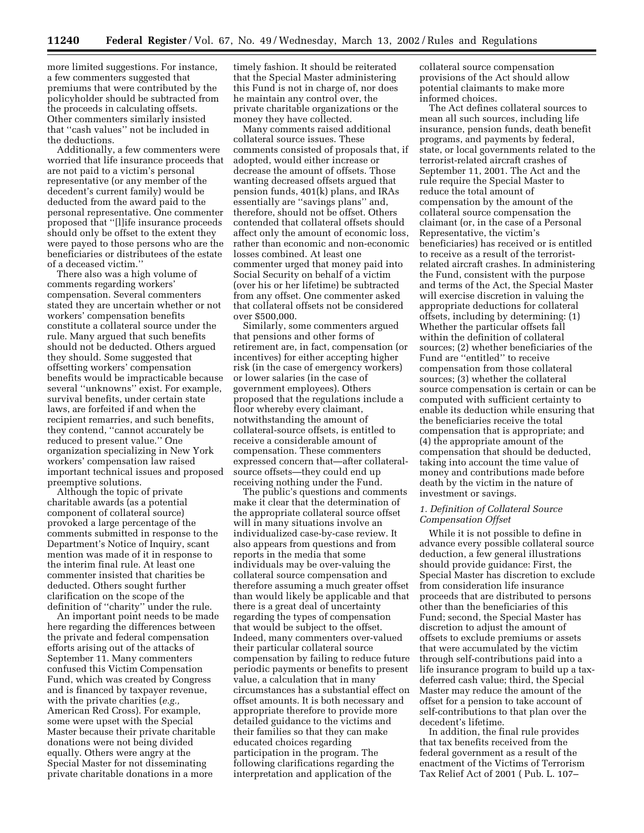more limited suggestions. For instance, a few commenters suggested that premiums that were contributed by the policyholder should be subtracted from the proceeds in calculating offsets. Other commenters similarly insisted that ''cash values'' not be included in the deductions.

Additionally, a few commenters were worried that life insurance proceeds that are not paid to a victim's personal representative (or any member of the decedent's current family) would be deducted from the award paid to the personal representative. One commenter proposed that ''[l]ife insurance proceeds should only be offset to the extent they were payed to those persons who are the beneficiaries or distributees of the estate of a deceased victim.''

There also was a high volume of comments regarding workers' compensation. Several commenters stated they are uncertain whether or not workers' compensation benefits constitute a collateral source under the rule. Many argued that such benefits should not be deducted. Others argued they should. Some suggested that offsetting workers' compensation benefits would be impracticable because several ''unknowns'' exist. For example, survival benefits, under certain state laws, are forfeited if and when the recipient remarries, and such benefits, they contend, ''cannot accurately be reduced to present value.'' One organization specializing in New York workers' compensation law raised important technical issues and proposed preemptive solutions.

Although the topic of private charitable awards (as a potential component of collateral source) provoked a large percentage of the comments submitted in response to the Department's Notice of Inquiry, scant mention was made of it in response to the interim final rule. At least one commenter insisted that charities be deducted. Others sought further clarification on the scope of the definition of ''charity'' under the rule.

An important point needs to be made here regarding the differences between the private and federal compensation efforts arising out of the attacks of September 11. Many commenters confused this Victim Compensation Fund, which was created by Congress and is financed by taxpayer revenue, with the private charities (*e.g.,* American Red Cross). For example, some were upset with the Special Master because their private charitable donations were not being divided equally. Others were angry at the Special Master for not disseminating private charitable donations in a more

timely fashion. It should be reiterated that the Special Master administering this Fund is not in charge of, nor does he maintain any control over, the private charitable organizations or the money they have collected.

Many comments raised additional collateral source issues. These comments consisted of proposals that, if adopted, would either increase or decrease the amount of offsets. Those wanting decreased offsets argued that pension funds, 401(k) plans, and IRAs essentially are ''savings plans'' and, therefore, should not be offset. Others contended that collateral offsets should affect only the amount of economic loss, rather than economic and non-economic losses combined. At least one commenter urged that money paid into Social Security on behalf of a victim (over his or her lifetime) be subtracted from any offset. One commenter asked that collateral offsets not be considered over \$500,000.

Similarly, some commenters argued that pensions and other forms of retirement are, in fact, compensation (or incentives) for either accepting higher risk (in the case of emergency workers) or lower salaries (in the case of government employees). Others proposed that the regulations include a floor whereby every claimant, notwithstanding the amount of collateral-source offsets, is entitled to receive a considerable amount of compensation. These commenters expressed concern that—after collateralsource offsets—they could end up receiving nothing under the Fund.

The public's questions and comments make it clear that the determination of the appropriate collateral source offset will in many situations involve an individualized case-by-case review. It also appears from questions and from reports in the media that some individuals may be over-valuing the collateral source compensation and therefore assuming a much greater offset than would likely be applicable and that there is a great deal of uncertainty regarding the types of compensation that would be subject to the offset. Indeed, many commenters over-valued their particular collateral source compensation by failing to reduce future periodic payments or benefits to present value, a calculation that in many circumstances has a substantial effect on offset amounts. It is both necessary and appropriate therefore to provide more detailed guidance to the victims and their families so that they can make educated choices regarding participation in the program. The following clarifications regarding the interpretation and application of the

collateral source compensation provisions of the Act should allow potential claimants to make more informed choices.

The Act defines collateral sources to mean all such sources, including life insurance, pension funds, death benefit programs, and payments by federal, state, or local governments related to the terrorist-related aircraft crashes of September 11, 2001. The Act and the rule require the Special Master to reduce the total amount of compensation by the amount of the collateral source compensation the claimant (or, in the case of a Personal Representative, the victim's beneficiaries) has received or is entitled to receive as a result of the terroristrelated aircraft crashes. In administering the Fund, consistent with the purpose and terms of the Act, the Special Master will exercise discretion in valuing the appropriate deductions for collateral offsets, including by determining: (1) Whether the particular offsets fall within the definition of collateral sources; (2) whether beneficiaries of the Fund are ''entitled'' to receive compensation from those collateral sources; (3) whether the collateral source compensation is certain or can be computed with sufficient certainty to enable its deduction while ensuring that the beneficiaries receive the total compensation that is appropriate; and (4) the appropriate amount of the compensation that should be deducted, taking into account the time value of money and contributions made before death by the victim in the nature of investment or savings.

## *1. Definition of Collateral Source Compensation Offset*

While it is not possible to define in advance every possible collateral source deduction, a few general illustrations should provide guidance: First, the Special Master has discretion to exclude from consideration life insurance proceeds that are distributed to persons other than the beneficiaries of this Fund; second, the Special Master has discretion to adjust the amount of offsets to exclude premiums or assets that were accumulated by the victim through self-contributions paid into a life insurance program to build up a taxdeferred cash value; third, the Special Master may reduce the amount of the offset for a pension to take account of self-contributions to that plan over the decedent's lifetime.

In addition, the final rule provides that tax benefits received from the federal government as a result of the enactment of the Victims of Terrorism Tax Relief Act of 2001 ( Pub. L. 107–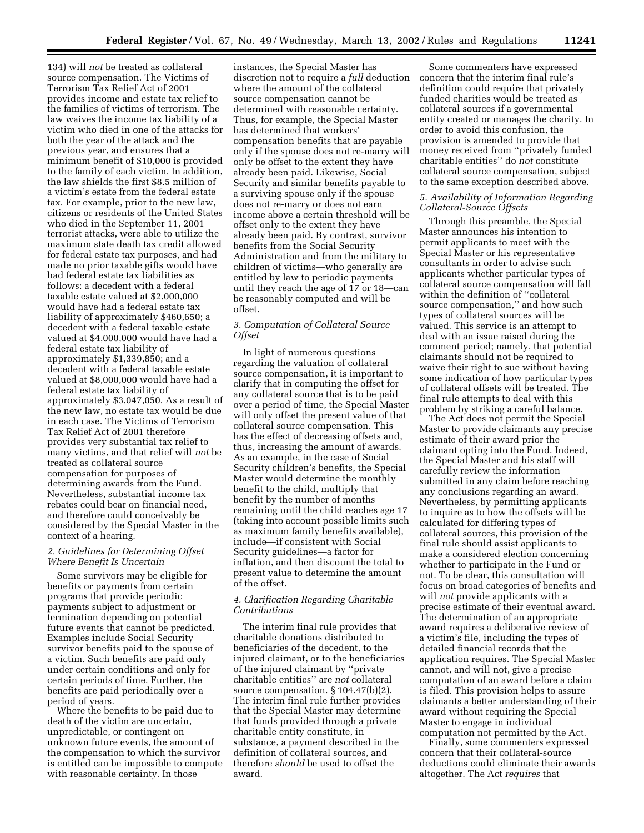134) will *not* be treated as collateral source compensation. The Victims of Terrorism Tax Relief Act of 2001 provides income and estate tax relief to the families of victims of terrorism. The law waives the income tax liability of a victim who died in one of the attacks for both the year of the attack and the previous year, and ensures that a minimum benefit of \$10,000 is provided to the family of each victim. In addition, the law shields the first \$8.5 million of a victim's estate from the federal estate tax. For example, prior to the new law, citizens or residents of the United States who died in the September 11, 2001 terrorist attacks, were able to utilize the maximum state death tax credit allowed for federal estate tax purposes, and had made no prior taxable gifts would have had federal estate tax liabilities as follows: a decedent with a federal taxable estate valued at \$2,000,000 would have had a federal estate tax liability of approximately \$460,650; a decedent with a federal taxable estate valued at \$4,000,000 would have had a federal estate tax liability of approximately \$1,339,850; and a decedent with a federal taxable estate valued at \$8,000,000 would have had a federal estate tax liability of approximately \$3,047,050. As a result of the new law, no estate tax would be due in each case. The Victims of Terrorism Tax Relief Act of 2001 therefore provides very substantial tax relief to many victims, and that relief will *not* be treated as collateral source compensation for purposes of determining awards from the Fund. Nevertheless, substantial income tax rebates could bear on financial need, and therefore could conceivably be considered by the Special Master in the context of a hearing.

### *2. Guidelines for Determining Offset Where Benefit Is Uncertain*

Some survivors may be eligible for benefits or payments from certain programs that provide periodic payments subject to adjustment or termination depending on potential future events that cannot be predicted. Examples include Social Security survivor benefits paid to the spouse of a victim. Such benefits are paid only under certain conditions and only for certain periods of time. Further, the benefits are paid periodically over a period of years.

Where the benefits to be paid due to death of the victim are uncertain, unpredictable, or contingent on unknown future events, the amount of the compensation to which the survivor is entitled can be impossible to compute with reasonable certainty. In those

instances, the Special Master has discretion not to require a *full* deduction where the amount of the collateral source compensation cannot be determined with reasonable certainty. Thus, for example, the Special Master has determined that workers' compensation benefits that are payable only if the spouse does not re-marry will only be offset to the extent they have already been paid. Likewise, Social Security and similar benefits payable to a surviving spouse only if the spouse does not re-marry or does not earn income above a certain threshold will be offset only to the extent they have already been paid. By contrast, survivor benefits from the Social Security Administration and from the military to children of victims—who generally are entitled by law to periodic payments until they reach the age of 17 or 18—can be reasonably computed and will be offset.

## *3. Computation of Collateral Source Offset*

In light of numerous questions regarding the valuation of collateral source compensation, it is important to clarify that in computing the offset for any collateral source that is to be paid over a period of time, the Special Master will only offset the present value of that collateral source compensation. This has the effect of decreasing offsets and, thus, increasing the amount of awards. As an example, in the case of Social Security children's benefits, the Special Master would determine the monthly benefit to the child, multiply that benefit by the number of months remaining until the child reaches age 17 (taking into account possible limits such as maximum family benefits available), include—if consistent with Social Security guidelines—a factor for inflation, and then discount the total to present value to determine the amount of the offset.

## *4. Clarification Regarding Charitable Contributions*

The interim final rule provides that charitable donations distributed to beneficiaries of the decedent, to the injured claimant, or to the beneficiaries of the injured claimant by ''private charitable entities'' are *not* collateral source compensation. § 104.47(b)(2). The interim final rule further provides that the Special Master may determine that funds provided through a private charitable entity constitute, in substance, a payment described in the definition of collateral sources, and therefore *should* be used to offset the award.

Some commenters have expressed concern that the interim final rule's definition could require that privately funded charities would be treated as collateral sources if a governmental entity created or manages the charity. In order to avoid this confusion, the provision is amended to provide that money received from ''privately funded charitable entities'' do *not* constitute collateral source compensation, subject to the same exception described above.

## *5. Availability of Information Regarding Collateral-Source Offsets*

Through this preamble, the Special Master announces his intention to permit applicants to meet with the Special Master or his representative consultants in order to advise such applicants whether particular types of collateral source compensation will fall within the definition of ''collateral source compensation,'' and how such types of collateral sources will be valued. This service is an attempt to deal with an issue raised during the comment period; namely, that potential claimants should not be required to waive their right to sue without having some indication of how particular types of collateral offsets will be treated. The final rule attempts to deal with this problem by striking a careful balance.

The Act does not permit the Special Master to provide claimants any precise estimate of their award prior the claimant opting into the Fund. Indeed, the Special Master and his staff will carefully review the information submitted in any claim before reaching any conclusions regarding an award. Nevertheless, by permitting applicants to inquire as to how the offsets will be calculated for differing types of collateral sources, this provision of the final rule should assist applicants to make a considered election concerning whether to participate in the Fund or not. To be clear, this consultation will focus on broad categories of benefits and will *not* provide applicants with a precise estimate of their eventual award. The determination of an appropriate award requires a deliberative review of a victim's file, including the types of detailed financial records that the application requires. The Special Master cannot, and will not, give a precise computation of an award before a claim is filed. This provision helps to assure claimants a better understanding of their award without requiring the Special Master to engage in individual computation not permitted by the Act.

Finally, some commenters expressed concern that their collateral-source deductions could eliminate their awards altogether. The Act *requires* that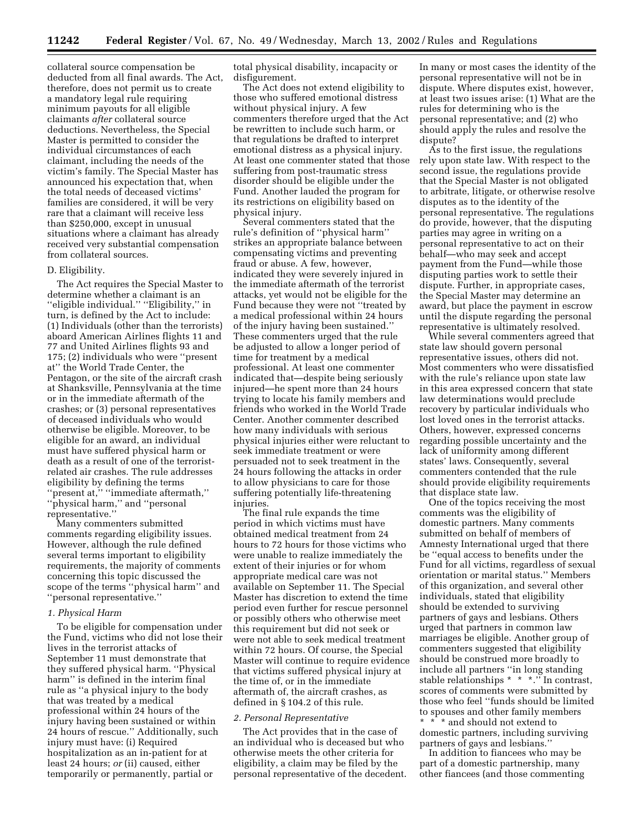collateral source compensation be deducted from all final awards. The Act, therefore, does not permit us to create a mandatory legal rule requiring minimum payouts for all eligible claimants *after* collateral source deductions. Nevertheless, the Special Master is permitted to consider the individual circumstances of each claimant, including the needs of the victim's family. The Special Master has announced his expectation that, when the total needs of deceased victims' families are considered, it will be very rare that a claimant will receive less than \$250,000, except in unusual situations where a claimant has already received very substantial compensation from collateral sources.

#### D. Eligibility.

The Act requires the Special Master to determine whether a claimant is an ''eligible individual.'' ''Eligibility,'' in turn, is defined by the Act to include: (1) Individuals (other than the terrorists) aboard American Airlines flights 11 and 77 and United Airlines flights 93 and 175; (2) individuals who were ''present at'' the World Trade Center, the Pentagon, or the site of the aircraft crash at Shanksville, Pennsylvania at the time or in the immediate aftermath of the crashes; or (3) personal representatives of deceased individuals who would otherwise be eligible. Moreover, to be eligible for an award, an individual must have suffered physical harm or death as a result of one of the terroristrelated air crashes. The rule addresses eligibility by defining the terms ''present at,'' ''immediate aftermath,'' ''physical harm,'' and ''personal representative.''

Many commenters submitted comments regarding eligibility issues. However, although the rule defined several terms important to eligibility requirements, the majority of comments concerning this topic discussed the scope of the terms ''physical harm'' and ''personal representative.''

## *1. Physical Harm*

To be eligible for compensation under the Fund, victims who did not lose their lives in the terrorist attacks of September 11 must demonstrate that they suffered physical harm. ''Physical harm'' is defined in the interim final rule as ''a physical injury to the body that was treated by a medical professional within 24 hours of the injury having been sustained or within 24 hours of rescue.'' Additionally, such injury must have: (i) Required hospitalization as an in-patient for at least 24 hours; *or* (ii) caused, either temporarily or permanently, partial or

total physical disability, incapacity or disfigurement.

The Act does not extend eligibility to those who suffered emotional distress without physical injury. A few commenters therefore urged that the Act be rewritten to include such harm, or that regulations be drafted to interpret emotional distress as a physical injury. At least one commenter stated that those suffering from post-traumatic stress disorder should be eligible under the Fund. Another lauded the program for its restrictions on eligibility based on physical injury.

Several commenters stated that the rule's definition of ''physical harm'' strikes an appropriate balance between compensating victims and preventing fraud or abuse. A few, however, indicated they were severely injured in the immediate aftermath of the terrorist attacks, yet would not be eligible for the Fund because they were not ''treated by a medical professional within 24 hours of the injury having been sustained.'' These commenters urged that the rule be adjusted to allow a longer period of time for treatment by a medical professional. At least one commenter indicated that—despite being seriously injured—he spent more than 24 hours trying to locate his family members and friends who worked in the World Trade Center. Another commenter described how many individuals with serious physical injuries either were reluctant to seek immediate treatment or were persuaded not to seek treatment in the 24 hours following the attacks in order to allow physicians to care for those suffering potentially life-threatening injuries.

The final rule expands the time period in which victims must have obtained medical treatment from 24 hours to 72 hours for those victims who were unable to realize immediately the extent of their injuries or for whom appropriate medical care was not available on September 11. The Special Master has discretion to extend the time period even further for rescue personnel or possibly others who otherwise meet this requirement but did not seek or were not able to seek medical treatment within 72 hours. Of course, the Special Master will continue to require evidence that victims suffered physical injury at the time of, or in the immediate aftermath of, the aircraft crashes, as defined in § 104.2 of this rule.

#### *2. Personal Representative*

The Act provides that in the case of an individual who is deceased but who otherwise meets the other criteria for eligibility, a claim may be filed by the personal representative of the decedent. In many or most cases the identity of the personal representative will not be in dispute. Where disputes exist, however, at least two issues arise: (1) What are the rules for determining who is the personal representative; and (2) who should apply the rules and resolve the dispute?

As to the first issue, the regulations rely upon state law. With respect to the second issue, the regulations provide that the Special Master is not obligated to arbitrate, litigate, or otherwise resolve disputes as to the identity of the personal representative. The regulations do provide, however, that the disputing parties may agree in writing on a personal representative to act on their behalf—who may seek and accept payment from the Fund—while those disputing parties work to settle their dispute. Further, in appropriate cases, the Special Master may determine an award, but place the payment in escrow until the dispute regarding the personal representative is ultimately resolved.

While several commenters agreed that state law should govern personal representative issues, others did not. Most commenters who were dissatisfied with the rule's reliance upon state law in this area expressed concern that state law determinations would preclude recovery by particular individuals who lost loved ones in the terrorist attacks. Others, however, expressed concerns regarding possible uncertainty and the lack of uniformity among different states' laws. Consequently, several commenters contended that the rule should provide eligibility requirements that displace state law.

One of the topics receiving the most comments was the eligibility of domestic partners. Many comments submitted on behalf of members of Amnesty International urged that there be ''equal access to benefits under the Fund for all victims, regardless of sexual orientation or marital status.'' Members of this organization, and several other individuals, stated that eligibility should be extended to surviving partners of gays and lesbians. Others urged that partners in common law marriages be eligible. Another group of commenters suggested that eligibility should be construed more broadly to include all partners ''in long standing stable relationships \* \* \*.'' In contrast, scores of comments were submitted by those who feel ''funds should be limited to spouses and other family members \* \* \* and should not extend to domestic partners, including surviving partners of gays and lesbians.''

In addition to fiancees who may be part of a domestic partnership, many other fiancees (and those commenting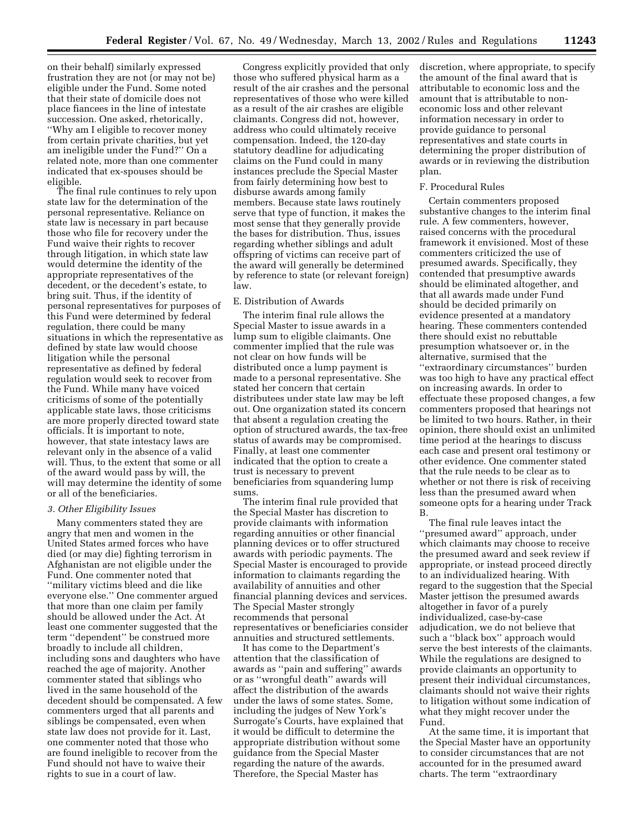on their behalf) similarly expressed frustration they are not (or may not be) eligible under the Fund. Some noted that their state of domicile does not place fiancees in the line of intestate succession. One asked, rhetorically, ''Why am I eligible to recover money from certain private charities, but yet am ineligible under the Fund?'' On a related note, more than one commenter indicated that ex-spouses should be eligible.

The final rule continues to rely upon state law for the determination of the personal representative. Reliance on state law is necessary in part because those who file for recovery under the Fund waive their rights to recover through litigation, in which state law would determine the identity of the appropriate representatives of the decedent, or the decedent's estate, to bring suit. Thus, if the identity of personal representatives for purposes of this Fund were determined by federal regulation, there could be many situations in which the representative as defined by state law would choose litigation while the personal representative as defined by federal regulation would seek to recover from the Fund. While many have voiced criticisms of some of the potentially applicable state laws, those criticisms are more properly directed toward state officials. It is important to note, however, that state intestacy laws are relevant only in the absence of a valid will. Thus, to the extent that some or all of the award would pass by will, the will may determine the identity of some or all of the beneficiaries.

## *3. Other Eligibility Issues*

Many commenters stated they are angry that men and women in the United States armed forces who have died (or may die) fighting terrorism in Afghanistan are not eligible under the Fund. One commenter noted that ''military victims bleed and die like everyone else.'' One commenter argued that more than one claim per family should be allowed under the Act. At least one commenter suggested that the term ''dependent'' be construed more broadly to include all children, including sons and daughters who have reached the age of majority. Another commenter stated that siblings who lived in the same household of the decedent should be compensated. A few commenters urged that all parents and siblings be compensated, even when state law does not provide for it. Last, one commenter noted that those who are found ineligible to recover from the Fund should not have to waive their rights to sue in a court of law.

Congress explicitly provided that only those who suffered physical harm as a result of the air crashes and the personal representatives of those who were killed as a result of the air crashes are eligible claimants. Congress did not, however, address who could ultimately receive compensation. Indeed, the 120-day statutory deadline for adjudicating claims on the Fund could in many instances preclude the Special Master from fairly determining how best to disburse awards among family members. Because state laws routinely serve that type of function, it makes the most sense that they generally provide the bases for distribution. Thus, issues regarding whether siblings and adult offspring of victims can receive part of the award will generally be determined by reference to state (or relevant foreign) law.

### E. Distribution of Awards

The interim final rule allows the Special Master to issue awards in a lump sum to eligible claimants. One commenter implied that the rule was not clear on how funds will be distributed once a lump payment is made to a personal representative. She stated her concern that certain distributees under state law may be left out. One organization stated its concern that absent a regulation creating the option of structured awards, the tax-free status of awards may be compromised. Finally, at least one commenter indicated that the option to create a trust is necessary to prevent beneficiaries from squandering lump sums.

The interim final rule provided that the Special Master has discretion to provide claimants with information regarding annuities or other financial planning devices or to offer structured awards with periodic payments. The Special Master is encouraged to provide information to claimants regarding the availability of annuities and other financial planning devices and services. The Special Master strongly recommends that personal representatives or beneficiaries consider annuities and structured settlements.

It has come to the Department's attention that the classification of awards as ''pain and suffering'' awards or as ''wrongful death'' awards will affect the distribution of the awards under the laws of some states. Some, including the judges of New York's Surrogate's Courts, have explained that it would be difficult to determine the appropriate distribution without some guidance from the Special Master regarding the nature of the awards. Therefore, the Special Master has

discretion, where appropriate, to specify the amount of the final award that is attributable to economic loss and the amount that is attributable to noneconomic loss and other relevant information necessary in order to provide guidance to personal representatives and state courts in determining the proper distribution of awards or in reviewing the distribution plan.

#### F. Procedural Rules

Certain commenters proposed substantive changes to the interim final rule. A few commenters, however, raised concerns with the procedural framework it envisioned. Most of these commenters criticized the use of presumed awards. Specifically, they contended that presumptive awards should be eliminated altogether, and that all awards made under Fund should be decided primarily on evidence presented at a mandatory hearing. These commenters contended there should exist no rebuttable presumption whatsoever or, in the alternative, surmised that the ''extraordinary circumstances'' burden was too high to have any practical effect on increasing awards. In order to effectuate these proposed changes, a few commenters proposed that hearings not be limited to two hours. Rather, in their opinion, there should exist an unlimited time period at the hearings to discuss each case and present oral testimony or other evidence. One commenter stated that the rule needs to be clear as to whether or not there is risk of receiving less than the presumed award when someone opts for a hearing under Track B.

The final rule leaves intact the ''presumed award'' approach, under which claimants may choose to receive the presumed award and seek review if appropriate, or instead proceed directly to an individualized hearing. With regard to the suggestion that the Special Master jettison the presumed awards altogether in favor of a purely individualized, case-by-case adjudication, we do not believe that such a ''black box'' approach would serve the best interests of the claimants. While the regulations are designed to provide claimants an opportunity to present their individual circumstances, claimants should not waive their rights to litigation without some indication of what they might recover under the Fund.

At the same time, it is important that the Special Master have an opportunity to consider circumstances that are not accounted for in the presumed award charts. The term ''extraordinary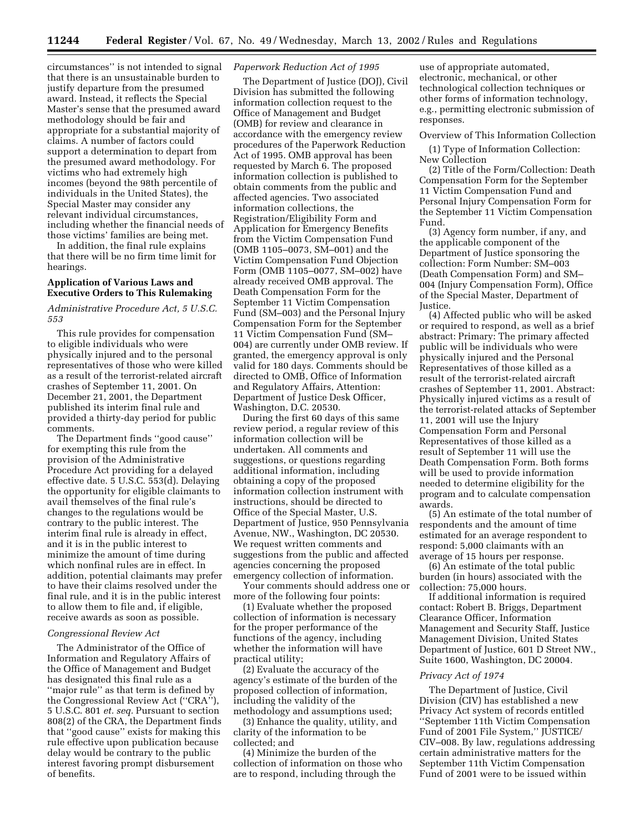circumstances'' is not intended to signal that there is an unsustainable burden to justify departure from the presumed award. Instead, it reflects the Special Master's sense that the presumed award methodology should be fair and appropriate for a substantial majority of claims. A number of factors could support a determination to depart from the presumed award methodology. For victims who had extremely high incomes (beyond the 98th percentile of individuals in the United States), the Special Master may consider any relevant individual circumstances, including whether the financial needs of those victims' families are being met.

In addition, the final rule explains that there will be no firm time limit for hearings.

### **Application of Various Laws and Executive Orders to This Rulemaking**

#### *Administrative Procedure Act, 5 U.S.C. 553*

This rule provides for compensation to eligible individuals who were physically injured and to the personal representatives of those who were killed as a result of the terrorist-related aircraft crashes of September 11, 2001. On December 21, 2001, the Department published its interim final rule and provided a thirty-day period for public comments.

The Department finds ''good cause'' for exempting this rule from the provision of the Administrative Procedure Act providing for a delayed effective date. 5 U.S.C. 553(d). Delaying the opportunity for eligible claimants to avail themselves of the final rule's changes to the regulations would be contrary to the public interest. The interim final rule is already in effect, and it is in the public interest to minimize the amount of time during which nonfinal rules are in effect. In addition, potential claimants may prefer to have their claims resolved under the final rule, and it is in the public interest to allow them to file and, if eligible, receive awards as soon as possible.

### *Congressional Review Act*

The Administrator of the Office of Information and Regulatory Affairs of the Office of Management and Budget has designated this final rule as a ''major rule'' as that term is defined by the Congressional Review Act (''CRA''), 5 U.S.C. 801 *et. seq.* Pursuant to section 808(2) of the CRA, the Department finds that ''good cause'' exists for making this rule effective upon publication because delay would be contrary to the public interest favoring prompt disbursement of benefits.

### *Paperwork Reduction Act of 1995*

The Department of Justice (DOJ), Civil Division has submitted the following information collection request to the Office of Management and Budget (OMB) for review and clearance in accordance with the emergency review procedures of the Paperwork Reduction Act of 1995. OMB approval has been requested by March 6. The proposed information collection is published to obtain comments from the public and affected agencies. Two associated information collections, the Registration/Eligibility Form and Application for Emergency Benefits from the Victim Compensation Fund (OMB 1105–0073, SM–001) and the Victim Compensation Fund Objection Form (OMB 1105–0077, SM–002) have already received OMB approval. The Death Compensation Form for the September 11 Victim Compensation Fund (SM–003) and the Personal Injury Compensation Form for the September 11 Victim Compensation Fund (SM– 004) are currently under OMB review. If granted, the emergency approval is only valid for 180 days. Comments should be directed to OMB, Office of Information and Regulatory Affairs, Attention: Department of Justice Desk Officer, Washington, D.C. 20530.

During the first 60 days of this same review period, a regular review of this information collection will be undertaken. All comments and suggestions, or questions regarding additional information, including obtaining a copy of the proposed information collection instrument with instructions, should be directed to Office of the Special Master, U.S. Department of Justice, 950 Pennsylvania Avenue, NW., Washington, DC 20530. We request written comments and suggestions from the public and affected agencies concerning the proposed emergency collection of information.

Your comments should address one or more of the following four points:

(1) Evaluate whether the proposed collection of information is necessary for the proper performance of the functions of the agency, including whether the information will have practical utility;

(2) Evaluate the accuracy of the agency's estimate of the burden of the proposed collection of information, including the validity of the methodology and assumptions used;

(3) Enhance the quality, utility, and clarity of the information to be collected; and

(4) Minimize the burden of the collection of information on those who are to respond, including through the

use of appropriate automated, electronic, mechanical, or other technological collection techniques or other forms of information technology, e.g., permitting electronic submission of responses.

#### Overview of This Information Collection

(1) Type of Information Collection: New Collection

(2) Title of the Form/Collection: Death Compensation Form for the September 11 Victim Compensation Fund and Personal Injury Compensation Form for the September 11 Victim Compensation Fund.

(3) Agency form number, if any, and the applicable component of the Department of Justice sponsoring the collection: Form Number: SM–003 (Death Compensation Form) and SM– 004 (Injury Compensation Form), Office of the Special Master, Department of Justice.

(4) Affected public who will be asked or required to respond, as well as a brief abstract: Primary: The primary affected public will be individuals who were physically injured and the Personal Representatives of those killed as a result of the terrorist-related aircraft crashes of September 11, 2001. Abstract: Physically injured victims as a result of the terrorist-related attacks of September 11, 2001 will use the Injury Compensation Form and Personal Representatives of those killed as a result of September 11 will use the Death Compensation Form. Both forms will be used to provide information needed to determine eligibility for the program and to calculate compensation awards.

(5) An estimate of the total number of respondents and the amount of time estimated for an average respondent to respond: 5,000 claimants with an average of 15 hours per response.

(6) An estimate of the total public burden (in hours) associated with the collection: 75,000 hours.

If additional information is required contact: Robert B. Briggs, Department Clearance Officer, Information Management and Security Staff, Justice Management Division, United States Department of Justice, 601 D Street NW., Suite 1600, Washington, DC 20004.

#### *Privacy Act of 1974*

The Department of Justice, Civil Division (CIV) has established a new Privacy Act system of records entitled ''September 11th Victim Compensation Fund of 2001 File System,'' JUSTICE/ CIV–008. By law, regulations addressing certain administrative matters for the September 11th Victim Compensation Fund of 2001 were to be issued within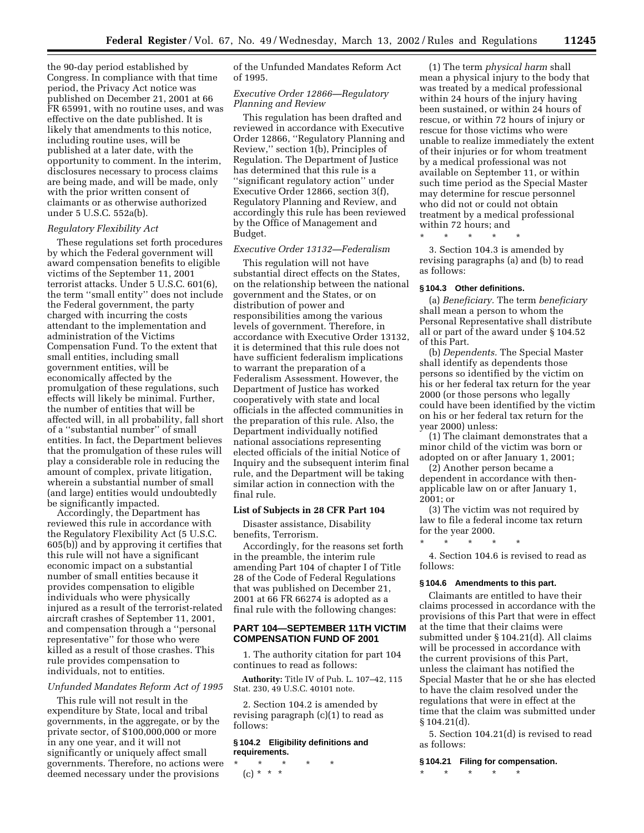the 90-day period established by Congress. In compliance with that time period, the Privacy Act notice was published on December 21, 2001 at 66 FR 65991, with no routine uses, and was effective on the date published. It is likely that amendments to this notice, including routine uses, will be published at a later date, with the opportunity to comment. In the interim, disclosures necessary to process claims are being made, and will be made, only with the prior written consent of claimants or as otherwise authorized under 5 U.S.C. 552a(b).

#### *Regulatory Flexibility Act*

These regulations set forth procedures by which the Federal government will award compensation benefits to eligible victims of the September 11, 2001 terrorist attacks. Under 5 U.S.C. 601(6), the term ''small entity'' does not include the Federal government, the party charged with incurring the costs attendant to the implementation and administration of the Victims Compensation Fund. To the extent that small entities, including small government entities, will be economically affected by the promulgation of these regulations, such effects will likely be minimal. Further, the number of entities that will be affected will, in all probability, fall short of a ''substantial number'' of small entities. In fact, the Department believes that the promulgation of these rules will play a considerable role in reducing the amount of complex, private litigation, wherein a substantial number of small (and large) entities would undoubtedly be significantly impacted.

Accordingly, the Department has reviewed this rule in accordance with the Regulatory Flexibility Act (5 U.S.C. 605(b)) and by approving it certifies that this rule will not have a significant economic impact on a substantial number of small entities because it provides compensation to eligible individuals who were physically injured as a result of the terrorist-related aircraft crashes of September 11, 2001, and compensation through a ''personal representative'' for those who were killed as a result of those crashes. This rule provides compensation to individuals, not to entities.

#### *Unfunded Mandates Reform Act of 1995*

This rule will not result in the expenditure by State, local and tribal governments, in the aggregate, or by the private sector, of \$100,000,000 or more in any one year, and it will not significantly or uniquely affect small governments. Therefore, no actions were deemed necessary under the provisions

of the Unfunded Mandates Reform Act of 1995.

## *Executive Order 12866—Regulatory Planning and Review*

This regulation has been drafted and reviewed in accordance with Executive Order 12866, ''Regulatory Planning and Review,'' section 1(b), Principles of Regulation. The Department of Justice has determined that this rule is a ''significant regulatory action'' under Executive Order 12866, section 3(f), Regulatory Planning and Review, and accordingly this rule has been reviewed by the Office of Management and Budget.

## *Executive Order 13132—Federalism*

This regulation will not have substantial direct effects on the States, on the relationship between the national government and the States, or on distribution of power and responsibilities among the various levels of government. Therefore, in accordance with Executive Order 13132, it is determined that this rule does not have sufficient federalism implications to warrant the preparation of a Federalism Assessment. However, the Department of Justice has worked cooperatively with state and local officials in the affected communities in the preparation of this rule. Also, the Department individually notified national associations representing elected officials of the initial Notice of Inquiry and the subsequent interim final rule, and the Department will be taking similar action in connection with the final rule.

#### **List of Subjects in 28 CFR Part 104**

Disaster assistance, Disability benefits, Terrorism.

Accordingly, for the reasons set forth in the preamble, the interim rule amending Part 104 of chapter I of Title 28 of the Code of Federal Regulations that was published on December 21, 2001 at 66 FR 66274 is adopted as a final rule with the following changes:

### **PART 104—SEPTEMBER 11TH VICTIM COMPENSATION FUND OF 2001**

1. The authority citation for part 104 continues to read as follows:

**Authority:** Title IV of Pub. L. 107–42, 115 Stat. 230, 49 U.S.C. 40101 note.

2. Section 104.2 is amended by revising paragraph (c)(1) to read as follows:

## **§ 104.2 Eligibility definitions and requirements.**

\* \* \* \* \* (c) \* \* \*

(1) The term *physical harm* shall mean a physical injury to the body that was treated by a medical professional within 24 hours of the injury having been sustained, or within 24 hours of rescue, or within 72 hours of injury or rescue for those victims who were unable to realize immediately the extent of their injuries or for whom treatment by a medical professional was not available on September 11, or within such time period as the Special Master may determine for rescue personnel who did not or could not obtain treatment by a medical professional within 72 hours; and

\* \* \* \* \*

3. Section 104.3 is amended by revising paragraphs (a) and (b) to read as follows:

#### **§ 104.3 Other definitions.**

(a) *Beneficiary.* The term *beneficiary* shall mean a person to whom the Personal Representative shall distribute all or part of the award under § 104.52 of this Part.

(b) *Dependents.* The Special Master shall identify as dependents those persons so identified by the victim on his or her federal tax return for the year 2000 (or those persons who legally could have been identified by the victim on his or her federal tax return for the year 2000) unless:

(1) The claimant demonstrates that a minor child of the victim was born or adopted on or after January 1, 2001;

(2) Another person became a dependent in accordance with thenapplicable law on or after January 1, 2001; or

(3) The victim was not required by law to file a federal income tax return for the year 2000.

4. Section 104.6 is revised to read as follows:

#### **§ 104.6 Amendments to this part.**

\* \* \* \* \*

Claimants are entitled to have their claims processed in accordance with the provisions of this Part that were in effect at the time that their claims were submitted under § 104.21(d). All claims will be processed in accordance with the current provisions of this Part, unless the claimant has notified the Special Master that he or she has elected to have the claim resolved under the regulations that were in effect at the time that the claim was submitted under § 104.21(d).

5. Section 104.21(d) is revised to read as follows:

## **§ 104.21 Filing for compensation.**

\* \* \* \* \*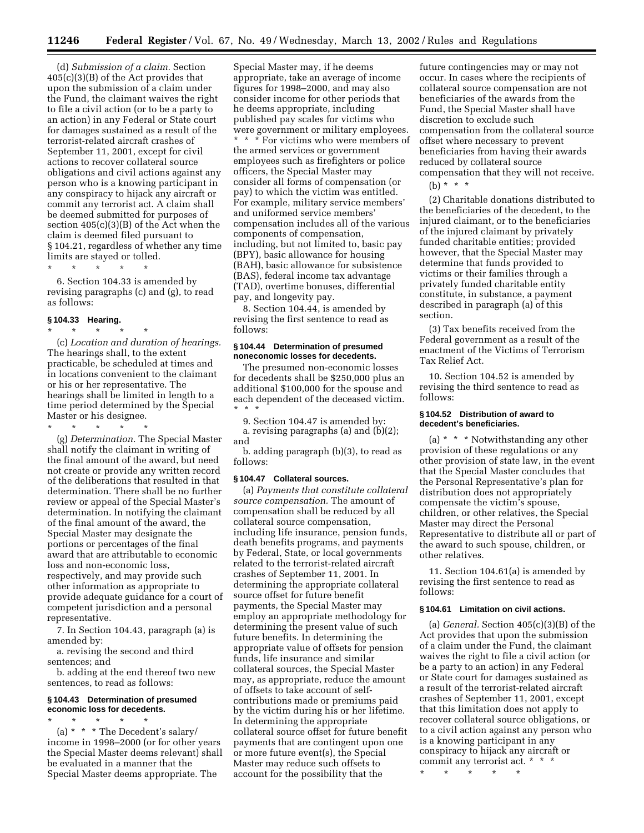(d) *Submission of a claim.* Section 405(c)(3)(B) of the Act provides that upon the submission of a claim under the Fund, the claimant waives the right to file a civil action (or to be a party to an action) in any Federal or State court for damages sustained as a result of the terrorist-related aircraft crashes of September 11, 2001, except for civil actions to recover collateral source obligations and civil actions against any person who is a knowing participant in any conspiracy to hijack any aircraft or commit any terrorist act. A claim shall be deemed submitted for purposes of section 405(c)(3)(B) of the Act when the claim is deemed filed pursuant to § 104.21, regardless of whether any time limits are stayed or tolled.

\* \* \* \* \*

6. Section 104.33 is amended by revising paragraphs (c) and (g), to read as follows:

## **§ 104.33 Hearing.**

\* \* \* \* \* (c) *Location and duration of hearings.* The hearings shall, to the extent practicable, be scheduled at times and in locations convenient to the claimant or his or her representative. The hearings shall be limited in length to a time period determined by the Special Master or his designee. \* \* \* \* \*

(g) *Determination.* The Special Master shall notify the claimant in writing of the final amount of the award, but need not create or provide any written record of the deliberations that resulted in that determination. There shall be no further review or appeal of the Special Master's determination. In notifying the claimant of the final amount of the award, the Special Master may designate the portions or percentages of the final award that are attributable to economic loss and non-economic loss, respectively, and may provide such other information as appropriate to provide adequate guidance for a court of competent jurisdiction and a personal representative.

7. In Section 104.43, paragraph (a) is amended by:

a. revising the second and third sentences; and

b. adding at the end thereof two new sentences, to read as follows:

## **§ 104.43 Determination of presumed economic loss for decedents.**

\* \* \* \* \* (a) \* \* \* The Decedent's salary/ income in 1998–2000 (or for other years the Special Master deems relevant) shall be evaluated in a manner that the Special Master deems appropriate. The

Special Master may, if he deems appropriate, take an average of income figures for 1998–2000, and may also consider income for other periods that he deems appropriate, including published pay scales for victims who were government or military employees. \* \* \* For victims who were members of the armed services or government employees such as firefighters or police officers, the Special Master may consider all forms of compensation (or pay) to which the victim was entitled. For example, military service members' and uniformed service members' compensation includes all of the various components of compensation, including, but not limited to, basic pay (BPY), basic allowance for housing (BAH), basic allowance for subsistence (BAS), federal income tax advantage (TAD), overtime bonuses, differential pay, and longevity pay.

8. Section 104.44, is amended by revising the first sentence to read as follows:

## **§ 104.44 Determination of presumed noneconomic losses for decedents.**

The presumed non-economic losses for decedents shall be \$250,000 plus an additional \$100,000 for the spouse and each dependent of the deceased victim. \*\*\*

9. Section 104.47 is amended by: a. revising paragraphs (a) and  $(b)(2)$ ; and

b. adding paragraph (b)(3), to read as follows:

## **§ 104.47 Collateral sources.**

(a) *Payments that constitute collateral source compensation.* The amount of compensation shall be reduced by all collateral source compensation, including life insurance, pension funds, death benefits programs, and payments by Federal, State, or local governments related to the terrorist-related aircraft crashes of September 11, 2001. In determining the appropriate collateral source offset for future benefit payments, the Special Master may employ an appropriate methodology for determining the present value of such future benefits. In determining the appropriate value of offsets for pension funds, life insurance and similar collateral sources, the Special Master may, as appropriate, reduce the amount of offsets to take account of selfcontributions made or premiums paid by the victim during his or her lifetime. In determining the appropriate collateral source offset for future benefit payments that are contingent upon one or more future event(s), the Special Master may reduce such offsets to account for the possibility that the

future contingencies may or may not occur. In cases where the recipients of collateral source compensation are not beneficiaries of the awards from the Fund, the Special Master shall have discretion to exclude such compensation from the collateral source offset where necessary to prevent beneficiaries from having their awards reduced by collateral source compensation that they will not receive.

(b)  $* * * *$ 

(2) Charitable donations distributed to the beneficiaries of the decedent, to the injured claimant, or to the beneficiaries of the injured claimant by privately funded charitable entities; provided however, that the Special Master may determine that funds provided to victims or their families through a privately funded charitable entity constitute, in substance, a payment described in paragraph (a) of this section.

(3) Tax benefits received from the Federal government as a result of the enactment of the Victims of Terrorism Tax Relief Act.

10. Section 104.52 is amended by revising the third sentence to read as follows:

#### **§ 104.52 Distribution of award to decedent's beneficiaries.**

(a) \* \* \* Notwithstanding any other provision of these regulations or any other provision of state law, in the event that the Special Master concludes that the Personal Representative's plan for distribution does not appropriately compensate the victim's spouse, children, or other relatives, the Special Master may direct the Personal Representative to distribute all or part of the award to such spouse, children, or other relatives.

11. Section 104.61(a) is amended by revising the first sentence to read as follows:

## **§ 104.61 Limitation on civil actions.**

(a) *General.* Section 405(c)(3)(B) of the Act provides that upon the submission of a claim under the Fund, the claimant waives the right to file a civil action (or be a party to an action) in any Federal or State court for damages sustained as a result of the terrorist-related aircraft crashes of September 11, 2001, except that this limitation does not apply to recover collateral source obligations, or to a civil action against any person who is a knowing participant in any conspiracy to hijack any aircraft or commit any terrorist act. \* \* \*

\* \* \* \* \*